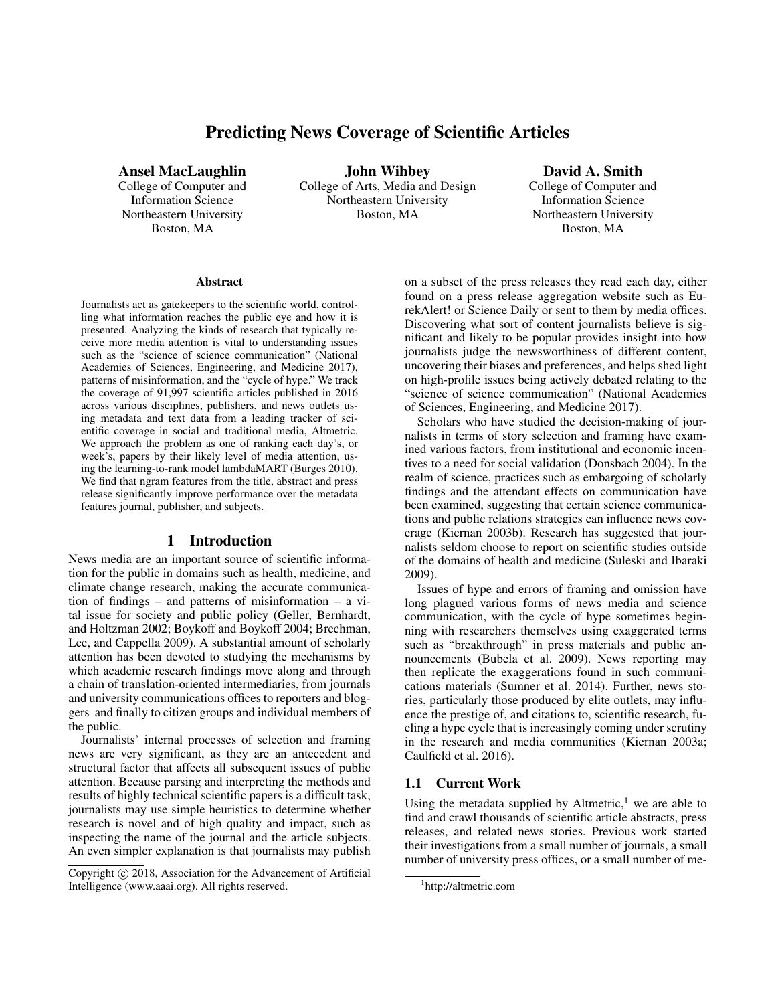# Predicting News Coverage of Scientific Articles

Ansel MacLaughlin

College of Computer and Information Science Northeastern University Boston, MA

John Wihbey College of Arts, Media and Design Northeastern University Boston, MA

David A. Smith College of Computer and Information Science Northeastern University Boston, MA

#### Abstract

Journalists act as gatekeepers to the scientific world, controlling what information reaches the public eye and how it is presented. Analyzing the kinds of research that typically receive more media attention is vital to understanding issues such as the "science of science communication" (National Academies of Sciences, Engineering, and Medicine 2017), patterns of misinformation, and the "cycle of hype." We track the coverage of 91,997 scientific articles published in 2016 across various disciplines, publishers, and news outlets using metadata and text data from a leading tracker of scientific coverage in social and traditional media, Altmetric. We approach the problem as one of ranking each day's, or week's, papers by their likely level of media attention, using the learning-to-rank model lambdaMART (Burges 2010). We find that ngram features from the title, abstract and press release significantly improve performance over the metadata features journal, publisher, and subjects.

## 1 Introduction

News media are an important source of scientific information for the public in domains such as health, medicine, and climate change research, making the accurate communication of findings – and patterns of misinformation – a vital issue for society and public policy (Geller, Bernhardt, and Holtzman 2002; Boykoff and Boykoff 2004; Brechman, Lee, and Cappella 2009). A substantial amount of scholarly attention has been devoted to studying the mechanisms by which academic research findings move along and through a chain of translation-oriented intermediaries, from journals and university communications offices to reporters and bloggers and finally to citizen groups and individual members of the public.

Journalists' internal processes of selection and framing news are very significant, as they are an antecedent and structural factor that affects all subsequent issues of public attention. Because parsing and interpreting the methods and results of highly technical scientific papers is a difficult task, journalists may use simple heuristics to determine whether research is novel and of high quality and impact, such as inspecting the name of the journal and the article subjects. An even simpler explanation is that journalists may publish on a subset of the press releases they read each day, either found on a press release aggregation website such as EurekAlert! or Science Daily or sent to them by media offices. Discovering what sort of content journalists believe is significant and likely to be popular provides insight into how journalists judge the newsworthiness of different content, uncovering their biases and preferences, and helps shed light on high-profile issues being actively debated relating to the "science of science communication" (National Academies of Sciences, Engineering, and Medicine 2017).

Scholars who have studied the decision-making of journalists in terms of story selection and framing have examined various factors, from institutional and economic incentives to a need for social validation (Donsbach 2004). In the realm of science, practices such as embargoing of scholarly findings and the attendant effects on communication have been examined, suggesting that certain science communications and public relations strategies can influence news coverage (Kiernan 2003b). Research has suggested that journalists seldom choose to report on scientific studies outside of the domains of health and medicine (Suleski and Ibaraki 2009).

Issues of hype and errors of framing and omission have long plagued various forms of news media and science communication, with the cycle of hype sometimes beginning with researchers themselves using exaggerated terms such as "breakthrough" in press materials and public announcements (Bubela et al. 2009). News reporting may then replicate the exaggerations found in such communications materials (Sumner et al. 2014). Further, news stories, particularly those produced by elite outlets, may influence the prestige of, and citations to, scientific research, fueling a hype cycle that is increasingly coming under scrutiny in the research and media communities (Kiernan 2003a; Caulfield et al. 2016).

### 1.1 Current Work

Using the metadata supplied by Altmetric, $<sup>1</sup>$  we are able to</sup> find and crawl thousands of scientific article abstracts, press releases, and related news stories. Previous work started their investigations from a small number of journals, a small number of university press offices, or a small number of me-

Copyright (c) 2018, Association for the Advancement of Artificial Intelligence (www.aaai.org). All rights reserved.

<sup>1</sup> http://altmetric.com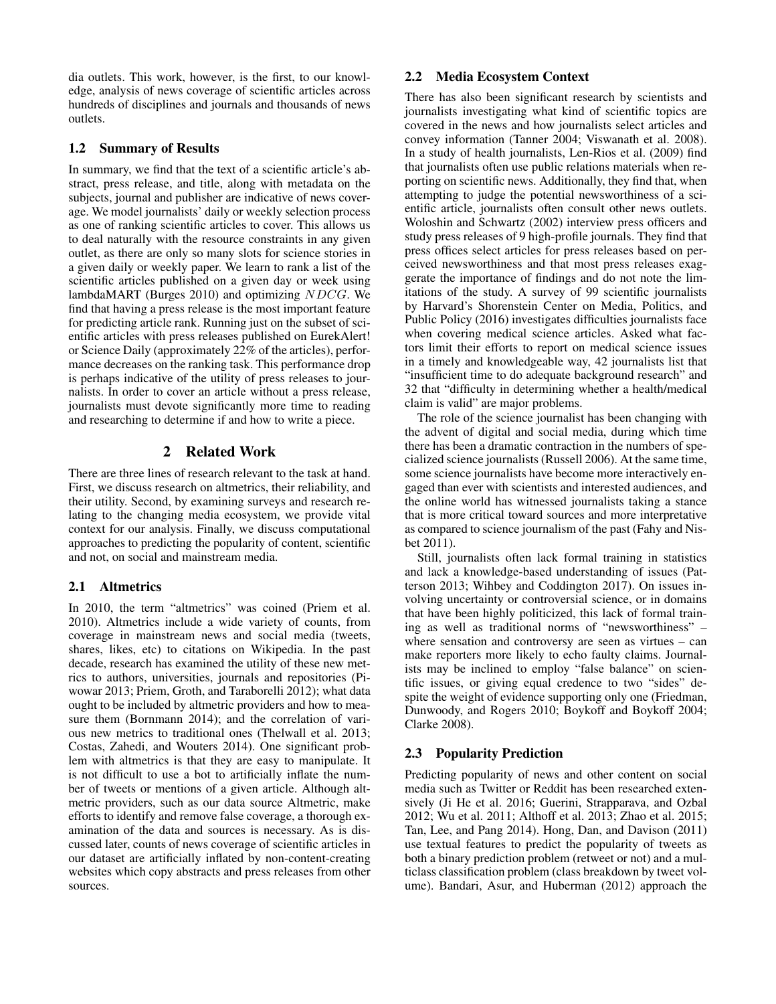dia outlets. This work, however, is the first, to our knowledge, analysis of news coverage of scientific articles across hundreds of disciplines and journals and thousands of news outlets.

## 1.2 Summary of Results

In summary, we find that the text of a scientific article's abstract, press release, and title, along with metadata on the subjects, journal and publisher are indicative of news coverage. We model journalists' daily or weekly selection process as one of ranking scientific articles to cover. This allows us to deal naturally with the resource constraints in any given outlet, as there are only so many slots for science stories in a given daily or weekly paper. We learn to rank a list of the scientific articles published on a given day or week using lambdaMART (Burges 2010) and optimizing NDCG. We find that having a press release is the most important feature for predicting article rank. Running just on the subset of scientific articles with press releases published on EurekAlert! or Science Daily (approximately 22% of the articles), performance decreases on the ranking task. This performance drop is perhaps indicative of the utility of press releases to journalists. In order to cover an article without a press release, journalists must devote significantly more time to reading and researching to determine if and how to write a piece.

## 2 Related Work

There are three lines of research relevant to the task at hand. First, we discuss research on altmetrics, their reliability, and their utility. Second, by examining surveys and research relating to the changing media ecosystem, we provide vital context for our analysis. Finally, we discuss computational approaches to predicting the popularity of content, scientific and not, on social and mainstream media.

## 2.1 Altmetrics

In 2010, the term "altmetrics" was coined (Priem et al. 2010). Altmetrics include a wide variety of counts, from coverage in mainstream news and social media (tweets, shares, likes, etc) to citations on Wikipedia. In the past decade, research has examined the utility of these new metrics to authors, universities, journals and repositories (Piwowar 2013; Priem, Groth, and Taraborelli 2012); what data ought to be included by altmetric providers and how to measure them (Bornmann 2014); and the correlation of various new metrics to traditional ones (Thelwall et al. 2013; Costas, Zahedi, and Wouters 2014). One significant problem with altmetrics is that they are easy to manipulate. It is not difficult to use a bot to artificially inflate the number of tweets or mentions of a given article. Although altmetric providers, such as our data source Altmetric, make efforts to identify and remove false coverage, a thorough examination of the data and sources is necessary. As is discussed later, counts of news coverage of scientific articles in our dataset are artificially inflated by non-content-creating websites which copy abstracts and press releases from other sources.

## 2.2 Media Ecosystem Context

There has also been significant research by scientists and journalists investigating what kind of scientific topics are covered in the news and how journalists select articles and convey information (Tanner 2004; Viswanath et al. 2008). In a study of health journalists, Len-Rios et al. (2009) find that journalists often use public relations materials when reporting on scientific news. Additionally, they find that, when attempting to judge the potential newsworthiness of a scientific article, journalists often consult other news outlets. Woloshin and Schwartz (2002) interview press officers and study press releases of 9 high-profile journals. They find that press offices select articles for press releases based on perceived newsworthiness and that most press releases exaggerate the importance of findings and do not note the limitations of the study. A survey of 99 scientific journalists by Harvard's Shorenstein Center on Media, Politics, and Public Policy (2016) investigates difficulties journalists face when covering medical science articles. Asked what factors limit their efforts to report on medical science issues in a timely and knowledgeable way, 42 journalists list that "insufficient time to do adequate background research" and 32 that "difficulty in determining whether a health/medical claim is valid" are major problems.

The role of the science journalist has been changing with the advent of digital and social media, during which time there has been a dramatic contraction in the numbers of specialized science journalists (Russell 2006). At the same time, some science journalists have become more interactively engaged than ever with scientists and interested audiences, and the online world has witnessed journalists taking a stance that is more critical toward sources and more interpretative as compared to science journalism of the past (Fahy and Nisbet 2011).

Still, journalists often lack formal training in statistics and lack a knowledge-based understanding of issues (Patterson 2013; Wihbey and Coddington 2017). On issues involving uncertainty or controversial science, or in domains that have been highly politicized, this lack of formal training as well as traditional norms of "newsworthiness" – where sensation and controversy are seen as virtues – can make reporters more likely to echo faulty claims. Journalists may be inclined to employ "false balance" on scientific issues, or giving equal credence to two "sides" despite the weight of evidence supporting only one (Friedman, Dunwoody, and Rogers 2010; Boykoff and Boykoff 2004; Clarke 2008).

## 2.3 Popularity Prediction

Predicting popularity of news and other content on social media such as Twitter or Reddit has been researched extensively (Ji He et al. 2016; Guerini, Strapparava, and Ozbal 2012; Wu et al. 2011; Althoff et al. 2013; Zhao et al. 2015; Tan, Lee, and Pang 2014). Hong, Dan, and Davison (2011) use textual features to predict the popularity of tweets as both a binary prediction problem (retweet or not) and a multiclass classification problem (class breakdown by tweet volume). Bandari, Asur, and Huberman (2012) approach the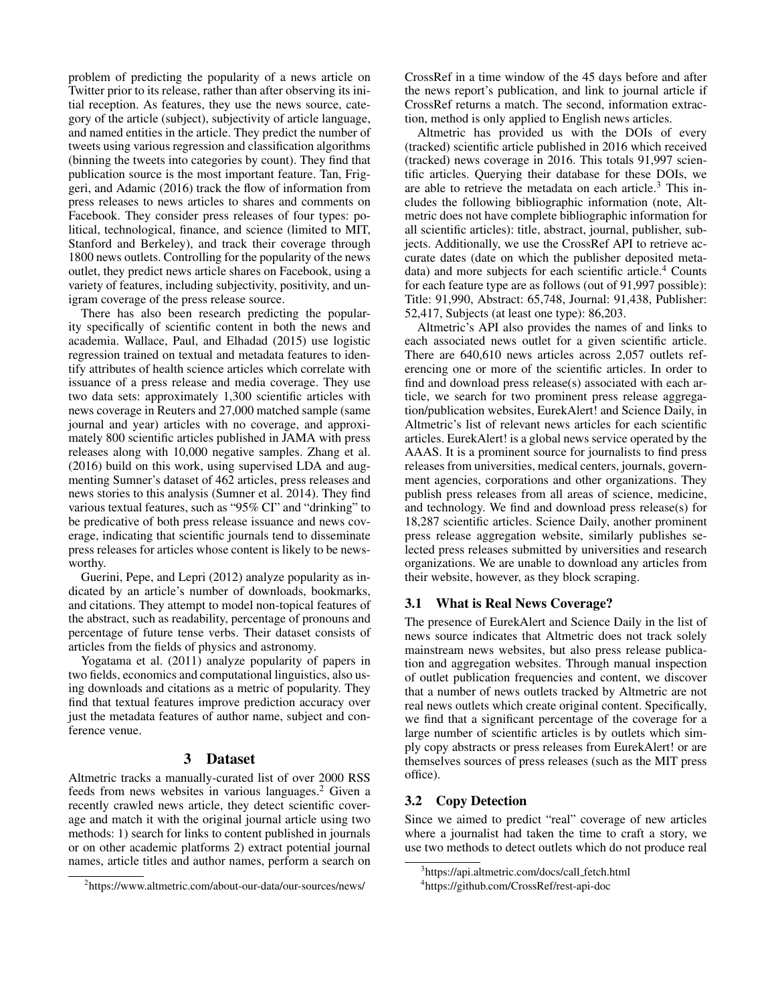problem of predicting the popularity of a news article on Twitter prior to its release, rather than after observing its initial reception. As features, they use the news source, category of the article (subject), subjectivity of article language, and named entities in the article. They predict the number of tweets using various regression and classification algorithms (binning the tweets into categories by count). They find that publication source is the most important feature. Tan, Friggeri, and Adamic (2016) track the flow of information from press releases to news articles to shares and comments on Facebook. They consider press releases of four types: political, technological, finance, and science (limited to MIT, Stanford and Berkeley), and track their coverage through 1800 news outlets. Controlling for the popularity of the news outlet, they predict news article shares on Facebook, using a variety of features, including subjectivity, positivity, and unigram coverage of the press release source.

There has also been research predicting the popularity specifically of scientific content in both the news and academia. Wallace, Paul, and Elhadad (2015) use logistic regression trained on textual and metadata features to identify attributes of health science articles which correlate with issuance of a press release and media coverage. They use two data sets: approximately 1,300 scientific articles with news coverage in Reuters and 27,000 matched sample (same journal and year) articles with no coverage, and approximately 800 scientific articles published in JAMA with press releases along with 10,000 negative samples. Zhang et al. (2016) build on this work, using supervised LDA and augmenting Sumner's dataset of 462 articles, press releases and news stories to this analysis (Sumner et al. 2014). They find various textual features, such as "95% CI" and "drinking" to be predicative of both press release issuance and news coverage, indicating that scientific journals tend to disseminate press releases for articles whose content is likely to be newsworthy.

Guerini, Pepe, and Lepri (2012) analyze popularity as indicated by an article's number of downloads, bookmarks, and citations. They attempt to model non-topical features of the abstract, such as readability, percentage of pronouns and percentage of future tense verbs. Their dataset consists of articles from the fields of physics and astronomy.

Yogatama et al. (2011) analyze popularity of papers in two fields, economics and computational linguistics, also using downloads and citations as a metric of popularity. They find that textual features improve prediction accuracy over just the metadata features of author name, subject and conference venue.

### 3 Dataset

Altmetric tracks a manually-curated list of over 2000 RSS feeds from news websites in various languages.<sup>2</sup> Given a recently crawled news article, they detect scientific coverage and match it with the original journal article using two methods: 1) search for links to content published in journals or on other academic platforms 2) extract potential journal names, article titles and author names, perform a search on

CrossRef in a time window of the 45 days before and after the news report's publication, and link to journal article if CrossRef returns a match. The second, information extraction, method is only applied to English news articles.

Altmetric has provided us with the DOIs of every (tracked) scientific article published in 2016 which received (tracked) news coverage in 2016. This totals 91,997 scientific articles. Querying their database for these DOIs, we are able to retrieve the metadata on each article. $3$  This includes the following bibliographic information (note, Altmetric does not have complete bibliographic information for all scientific articles): title, abstract, journal, publisher, subjects. Additionally, we use the CrossRef API to retrieve accurate dates (date on which the publisher deposited metadata) and more subjects for each scientific article.<sup>4</sup> Counts for each feature type are as follows (out of 91,997 possible): Title: 91,990, Abstract: 65,748, Journal: 91,438, Publisher: 52,417, Subjects (at least one type): 86,203.

Altmetric's API also provides the names of and links to each associated news outlet for a given scientific article. There are 640,610 news articles across 2,057 outlets referencing one or more of the scientific articles. In order to find and download press release(s) associated with each article, we search for two prominent press release aggregation/publication websites, EurekAlert! and Science Daily, in Altmetric's list of relevant news articles for each scientific articles. EurekAlert! is a global news service operated by the AAAS. It is a prominent source for journalists to find press releases from universities, medical centers, journals, government agencies, corporations and other organizations. They publish press releases from all areas of science, medicine, and technology. We find and download press release(s) for 18,287 scientific articles. Science Daily, another prominent press release aggregation website, similarly publishes selected press releases submitted by universities and research organizations. We are unable to download any articles from their website, however, as they block scraping.

#### 3.1 What is Real News Coverage?

The presence of EurekAlert and Science Daily in the list of news source indicates that Altmetric does not track solely mainstream news websites, but also press release publication and aggregation websites. Through manual inspection of outlet publication frequencies and content, we discover that a number of news outlets tracked by Altmetric are not real news outlets which create original content. Specifically, we find that a significant percentage of the coverage for a large number of scientific articles is by outlets which simply copy abstracts or press releases from EurekAlert! or are themselves sources of press releases (such as the MIT press office).

#### 3.2 Copy Detection

Since we aimed to predict "real" coverage of new articles where a journalist had taken the time to craft a story, we use two methods to detect outlets which do not produce real

<sup>2</sup> https://www.altmetric.com/about-our-data/our-sources/news/

<sup>&</sup>lt;sup>3</sup>https://api.altmetric.com/docs/call\_fetch.html

<sup>4</sup> https://github.com/CrossRef/rest-api-doc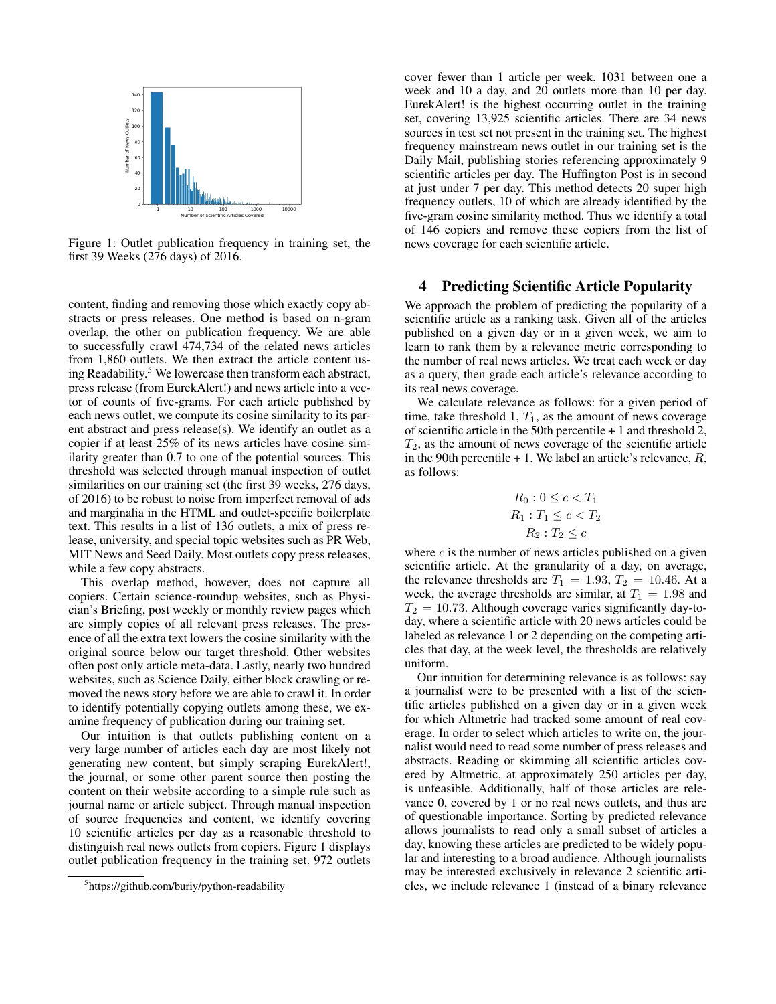

Figure 1: Outlet publication frequency in training set, the first 39 Weeks (276 days) of 2016.

content, finding and removing those which exactly copy abstracts or press releases. One method is based on n-gram overlap, the other on publication frequency. We are able to successfully crawl 474,734 of the related news articles from 1,860 outlets. We then extract the article content using Readability.<sup>5</sup> We lowercase then transform each abstract, press release (from EurekAlert!) and news article into a vector of counts of five-grams. For each article published by each news outlet, we compute its cosine similarity to its parent abstract and press release(s). We identify an outlet as a copier if at least 25% of its news articles have cosine similarity greater than 0.7 to one of the potential sources. This threshold was selected through manual inspection of outlet similarities on our training set (the first 39 weeks, 276 days, of 2016) to be robust to noise from imperfect removal of ads and marginalia in the HTML and outlet-specific boilerplate text. This results in a list of 136 outlets, a mix of press release, university, and special topic websites such as PR Web, MIT News and Seed Daily. Most outlets copy press releases, while a few copy abstracts.

This overlap method, however, does not capture all copiers. Certain science-roundup websites, such as Physician's Briefing, post weekly or monthly review pages which are simply copies of all relevant press releases. The presence of all the extra text lowers the cosine similarity with the original source below our target threshold. Other websites often post only article meta-data. Lastly, nearly two hundred websites, such as Science Daily, either block crawling or removed the news story before we are able to crawl it. In order to identify potentially copying outlets among these, we examine frequency of publication during our training set.

Our intuition is that outlets publishing content on a very large number of articles each day are most likely not generating new content, but simply scraping EurekAlert!, the journal, or some other parent source then posting the content on their website according to a simple rule such as journal name or article subject. Through manual inspection of source frequencies and content, we identify covering 10 scientific articles per day as a reasonable threshold to distinguish real news outlets from copiers. Figure 1 displays outlet publication frequency in the training set. 972 outlets

cover fewer than 1 article per week, 1031 between one a week and 10 a day, and 20 outlets more than 10 per day. EurekAlert! is the highest occurring outlet in the training set, covering 13,925 scientific articles. There are 34 news sources in test set not present in the training set. The highest frequency mainstream news outlet in our training set is the Daily Mail, publishing stories referencing approximately 9 scientific articles per day. The Huffington Post is in second at just under 7 per day. This method detects 20 super high frequency outlets, 10 of which are already identified by the five-gram cosine similarity method. Thus we identify a total of 146 copiers and remove these copiers from the list of news coverage for each scientific article.

#### 4 Predicting Scientific Article Popularity

We approach the problem of predicting the popularity of a scientific article as a ranking task. Given all of the articles published on a given day or in a given week, we aim to learn to rank them by a relevance metric corresponding to the number of real news articles. We treat each week or day as a query, then grade each article's relevance according to its real news coverage.

We calculate relevance as follows: for a given period of time, take threshold 1,  $T_1$ , as the amount of news coverage of scientific article in the 50th percentile + 1 and threshold 2,  $T_2$ , as the amount of news coverage of the scientific article in the 90th percentile  $+1$ . We label an article's relevance,  $R$ , as follows:

$$
R_0: 0 \le c < T_1
$$
\n
$$
R_1: T_1 \le c < T_2
$$
\n
$$
R_2: T_2 \le c
$$

where  $c$  is the number of news articles published on a given scientific article. At the granularity of a day, on average, the relevance thresholds are  $T_1 = 1.93, T_2 = 10.46$ . At a week, the average thresholds are similar, at  $T_1 = 1.98$  and  $T_2 = 10.73$ . Although coverage varies significantly day-today, where a scientific article with 20 news articles could be labeled as relevance 1 or 2 depending on the competing articles that day, at the week level, the thresholds are relatively uniform.

Our intuition for determining relevance is as follows: say a journalist were to be presented with a list of the scientific articles published on a given day or in a given week for which Altmetric had tracked some amount of real coverage. In order to select which articles to write on, the journalist would need to read some number of press releases and abstracts. Reading or skimming all scientific articles covered by Altmetric, at approximately 250 articles per day, is unfeasible. Additionally, half of those articles are relevance 0, covered by 1 or no real news outlets, and thus are of questionable importance. Sorting by predicted relevance allows journalists to read only a small subset of articles a day, knowing these articles are predicted to be widely popular and interesting to a broad audience. Although journalists may be interested exclusively in relevance 2 scientific articles, we include relevance 1 (instead of a binary relevance

<sup>5</sup> https://github.com/buriy/python-readability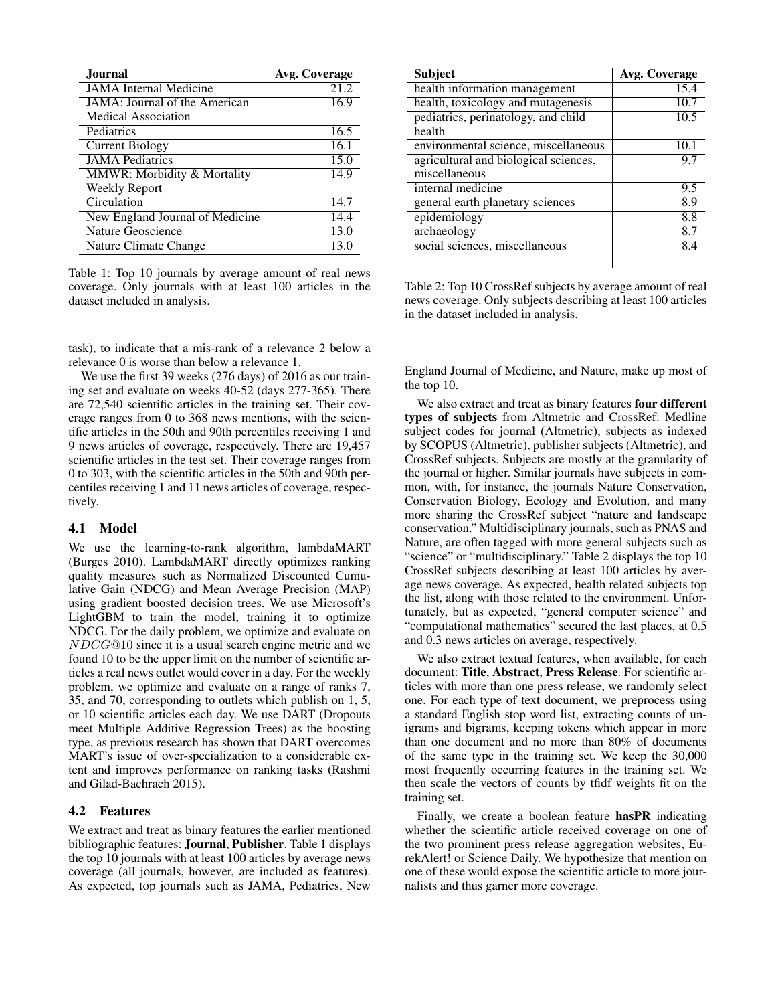| <b>Journal</b>                  | Avg. Coverage |
|---------------------------------|---------------|
| <b>JAMA</b> Internal Medicine   | 21.2          |
| JAMA: Journal of the American   | 16.9          |
| Medical Association             |               |
| Pediatrics                      | 16.5          |
| <b>Current Biology</b>          | 16.1          |
| <b>JAMA</b> Pediatrics          | 15.0          |
| MMWR: Morbidity & Mortality     | 14.9          |
| <b>Weekly Report</b>            |               |
| Circulation                     | 14.7          |
| New England Journal of Medicine | 14.4          |
| <b>Nature Geoscience</b>        | 13.0          |
| Nature Climate Change           | 13.0          |

Table 1: Top 10 journals by average amount of real news coverage. Only journals with at least 100 articles in the dataset included in analysis.

task), to indicate that a mis-rank of a relevance 2 below a relevance 0 is worse than below a relevance 1.

We use the first 39 weeks (276 days) of 2016 as our training set and evaluate on weeks 40-52 (days 277-365). There are 72,540 scientific articles in the training set. Their coverage ranges from 0 to 368 news mentions, with the scientific articles in the 50th and 90th percentiles receiving 1 and 9 news articles of coverage, respectively. There are 19,457 scientific articles in the test set. Their coverage ranges from 0 to 303, with the scientific articles in the 50th and 90th percentiles receiving 1 and 11 news articles of coverage, respectively.

## 4.1 Model

We use the learning-to-rank algorithm, lambdaMART (Burges 2010). LambdaMART directly optimizes ranking quality measures such as Normalized Discounted Cumulative Gain (NDCG) and Mean Average Precision (MAP) using gradient boosted decision trees. We use Microsoft's LightGBM to train the model, training it to optimize NDCG. For the daily problem, we optimize and evaluate on NDCG@10 since it is a usual search engine metric and we found 10 to be the upper limit on the number of scientific articles a real news outlet would cover in a day. For the weekly problem, we optimize and evaluate on a range of ranks 7, 35, and 70, corresponding to outlets which publish on 1, 5, or 10 scientific articles each day. We use DART (Dropouts meet Multiple Additive Regression Trees) as the boosting type, as previous research has shown that DART overcomes MART's issue of over-specialization to a considerable extent and improves performance on ranking tasks (Rashmi and Gilad-Bachrach 2015).

#### 4.2 Features

We extract and treat as binary features the earlier mentioned bibliographic features: Journal, Publisher. Table 1 displays the top 10 journals with at least 100 articles by average news coverage (all journals, however, are included as features). As expected, top journals such as JAMA, Pediatrics, New

| <b>Subject</b>                        | <b>Avg. Coverage</b> |
|---------------------------------------|----------------------|
| health information management         | 15.4                 |
| health, toxicology and mutagenesis    | 10.7                 |
| pediatrics, perinatology, and child   | 10.5                 |
| health                                |                      |
| environmental science, miscellaneous  | 10.1                 |
| agricultural and biological sciences, | 9.7                  |
| miscellaneous                         |                      |
| internal medicine                     | 9.5                  |
| general earth planetary sciences      | 8.9                  |
| epidemiology                          | 8.8                  |
| archaeology                           | 87                   |
| social sciences, miscellaneous        | 84                   |
|                                       |                      |

Table 2: Top 10 CrossRef subjects by average amount of real news coverage. Only subjects describing at least 100 articles in the dataset included in analysis.

England Journal of Medicine, and Nature, make up most of the top 10.

We also extract and treat as binary features four different types of subjects from Altmetric and CrossRef: Medline subject codes for journal (Altmetric), subjects as indexed by SCOPUS (Altmetric), publisher subjects (Altmetric), and CrossRef subjects. Subjects are mostly at the granularity of the journal or higher. Similar journals have subjects in common, with, for instance, the journals Nature Conservation, Conservation Biology, Ecology and Evolution, and many more sharing the CrossRef subject "nature and landscape conservation." Multidisciplinary journals, such as PNAS and Nature, are often tagged with more general subjects such as "science" or "multidisciplinary." Table 2 displays the top 10 CrossRef subjects describing at least 100 articles by average news coverage. As expected, health related subjects top the list, along with those related to the environment. Unfortunately, but as expected, "general computer science" and "computational mathematics" secured the last places, at 0.5 and 0.3 news articles on average, respectively.

We also extract textual features, when available, for each document: Title, Abstract, Press Release. For scientific articles with more than one press release, we randomly select one. For each type of text document, we preprocess using a standard English stop word list, extracting counts of unigrams and bigrams, keeping tokens which appear in more than one document and no more than 80% of documents of the same type in the training set. We keep the 30,000 most frequently occurring features in the training set. We then scale the vectors of counts by tfidf weights fit on the training set.

Finally, we create a boolean feature hasPR indicating whether the scientific article received coverage on one of the two prominent press release aggregation websites, EurekAlert! or Science Daily. We hypothesize that mention on one of these would expose the scientific article to more journalists and thus garner more coverage.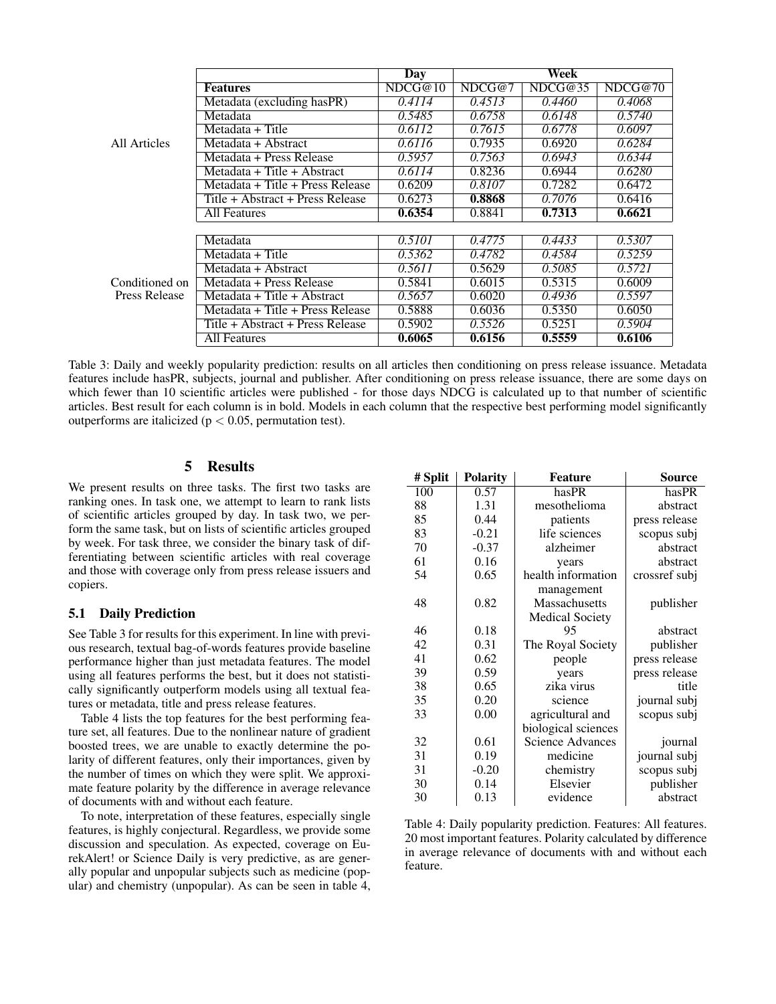|                                 |                                  | <b>Day</b> | Week                |         |         |
|---------------------------------|----------------------------------|------------|---------------------|---------|---------|
|                                 | <b>Features</b>                  | NDCG@10    | NDCG@7              | NDCG@35 | NDCG@70 |
|                                 | Metadata (excluding hasPR)       | 0.4114     | 0.4513              | 0.4460  | 0.4068  |
|                                 | Metadata                         | 0.5485     | 0.6758              | 0.6148  | 0.5740  |
|                                 | Metadata + $Title$               | 0.6112     | $\overline{0.7615}$ | 0.6778  | 0.6097  |
| All Articles                    | Metadata + Abstract              | 0.6116     | 0.7935              | 0.6920  | 0.6284  |
|                                 | Metadata + Press Release         | 0.5957     | 0.7563              | 0.6943  | 0.6344  |
|                                 | Metadata + Title + Abstract      | 0.6114     | 0.8236              | 0.6944  | 0.6280  |
|                                 | Metadata + Title + Press Release | 0.6209     | 0.8107              | 0.7282  | 0.6472  |
|                                 | Title + Abstract + Press Release | 0.6273     | 0.8868              | 0.7076  | 0.6416  |
|                                 | <b>All Features</b>              | 0.6354     | 0.8841              | 0.7313  | 0.6621  |
|                                 |                                  |            |                     |         |         |
|                                 | Metadata                         | 0.5101     | 0.4775              | 0.4433  | 0.5307  |
|                                 | Metadata + Title                 | 0.5362     | 0.4782              | 0.4584  | 0.5259  |
|                                 | Metadata + Abstract              | 0.5611     | 0.5629              | 0.5085  | 0.5721  |
| Conditioned on<br>Press Release | $Metadata + Press$ Release       | 0.5841     | 0.6015              | 0.5315  | 0.6009  |
|                                 | Metadata + Title + Abstract      | 0.5657     | 0.6020              | 0.4936  | 0.5597  |
|                                 | Metadata + Title + Press Release | 0.5888     | 0.6036              | 0.5350  | 0.6050  |
|                                 | Title + Abstract + Press Release | 0.5902     | 0.5526              | 0.5251  | 0.5904  |
|                                 | All Features                     | 0.6065     | 0.6156              | 0.5559  | 0.6106  |

Table 3: Daily and weekly popularity prediction: results on all articles then conditioning on press release issuance. Metadata features include hasPR, subjects, journal and publisher. After conditioning on press release issuance, there are some days on which fewer than 10 scientific articles were published - for those days NDCG is calculated up to that number of scientific articles. Best result for each column is in bold. Models in each column that the respective best performing model significantly outperforms are italicized ( $p < 0.05$ , permutation test).

## 5 Results

We present results on three tasks. The first two tasks are ranking ones. In task one, we attempt to learn to rank lists of scientific articles grouped by day. In task two, we perform the same task, but on lists of scientific articles grouped by week. For task three, we consider the binary task of differentiating between scientific articles with real coverage and those with coverage only from press release issuers and copiers.

## 5.1 Daily Prediction

See Table 3 for results for this experiment. In line with previous research, textual bag-of-words features provide baseline performance higher than just metadata features. The model using all features performs the best, but it does not statistically significantly outperform models using all textual features or metadata, title and press release features.

Table 4 lists the top features for the best performing feature set, all features. Due to the nonlinear nature of gradient boosted trees, we are unable to exactly determine the polarity of different features, only their importances, given by the number of times on which they were split. We approximate feature polarity by the difference in average relevance of documents with and without each feature.

To note, interpretation of these features, especially single features, is highly conjectural. Regardless, we provide some discussion and speculation. As expected, coverage on EurekAlert! or Science Daily is very predictive, as are generally popular and unpopular subjects such as medicine (popular) and chemistry (unpopular). As can be seen in table 4,

| # Split | <b>Polarity</b> | <b>Feature</b>          | <b>Source</b> |
|---------|-----------------|-------------------------|---------------|
| 100     | 0.57            | hasPR                   | hasPR         |
| 88      | 1.31            | mesothelioma            | abstract      |
| 85      | 0.44            | patients                | press release |
| 83      | $-0.21$         | life sciences           | scopus subj   |
| 70      | $-0.37$         | alzheimer               | abstract      |
| 61      | 0.16            | years                   | abstract      |
| 54      | 0.65            | health information      | crossref subj |
|         |                 | management              |               |
| 48      | 0.82            | Massachusetts           | publisher     |
|         |                 | <b>Medical Society</b>  |               |
| 46      | 0.18            | 95                      | abstract      |
| 42      | 0.31            | The Royal Society       | publisher     |
| 41      | 0.62            | people                  | press release |
| 39      | 0.59            | years                   | press release |
| 38      | 0.65            | zika virus              | title         |
| 35      | 0.20            | science                 | journal subj  |
| 33      | 0.00            | agricultural and        | scopus subj   |
|         |                 | biological sciences     |               |
| 32      | 0.61            | <b>Science Advances</b> | journal       |
| 31      | 0.19            | medicine                | journal subj  |
| 31      | $-0.20$         | chemistry               | scopus subj   |
| 30      | 0.14            | Elsevier                | publisher     |
| 30      | 0.13            | evidence                | abstract      |

Table 4: Daily popularity prediction. Features: All features. 20 most important features. Polarity calculated by difference in average relevance of documents with and without each feature.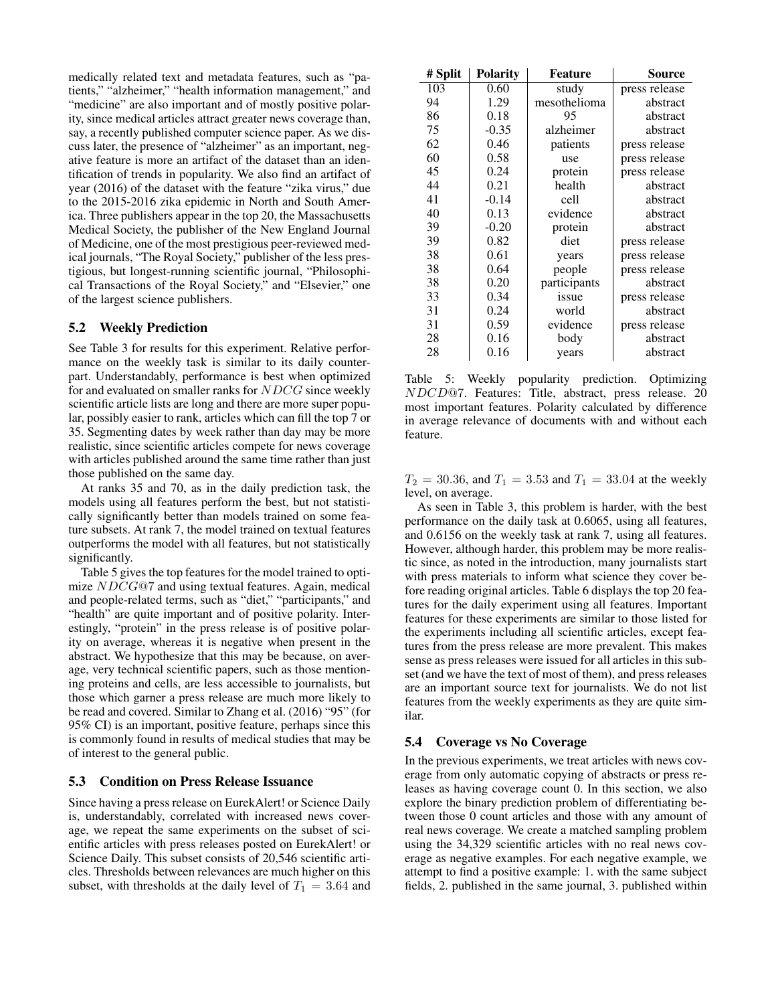medically related text and metadata features, such as "patients," "alzheimer," "health information management," and "medicine" are also important and of mostly positive polarity, since medical articles attract greater news coverage than, say, a recently published computer science paper. As we discuss later, the presence of "alzheimer" as an important, negative feature is more an artifact of the dataset than an identification of trends in popularity. We also find an artifact of year (2016) of the dataset with the feature "zika virus," due to the 2015-2016 zika epidemic in North and South America. Three publishers appear in the top 20, the Massachusetts Medical Society, the publisher of the New England Journal of Medicine, one of the most prestigious peer-reviewed medical journals, "The Royal Society," publisher of the less prestigious, but longest-running scientific journal, "Philosophical Transactions of the Royal Society," and "Elsevier," one of the largest science publishers.

#### 5.2 Weekly Prediction

See Table 3 for results for this experiment. Relative performance on the weekly task is similar to its daily counterpart. Understandably, performance is best when optimized for and evaluated on smaller ranks for NDCG since weekly scientific article lists are long and there are more super popular, possibly easier to rank, articles which can fill the top 7 or 35. Segmenting dates by week rather than day may be more realistic, since scientific articles compete for news coverage with articles published around the same time rather than just those published on the same day.

At ranks 35 and 70, as in the daily prediction task, the models using all features perform the best, but not statistically significantly better than models trained on some feature subsets. At rank 7, the model trained on textual features outperforms the model with all features, but not statistically significantly.

Table 5 gives the top features for the model trained to optimize NDCG@7 and using textual features. Again, medical and people-related terms, such as "diet," "participants," and "health" are quite important and of positive polarity. Interestingly, "protein" in the press release is of positive polarity on average, whereas it is negative when present in the abstract. We hypothesize that this may be because, on average, very technical scientific papers, such as those mentioning proteins and cells, are less accessible to journalists, but those which garner a press release are much more likely to be read and covered. Similar to Zhang et al. (2016) "95" (for 95% CI) is an important, positive feature, perhaps since this is commonly found in results of medical studies that may be of interest to the general public.

### 5.3 Condition on Press Release Issuance

Since having a press release on EurekAlert! or Science Daily is, understandably, correlated with increased news coverage, we repeat the same experiments on the subset of scientific articles with press releases posted on EurekAlert! or Science Daily. This subset consists of 20,546 scientific articles. Thresholds between relevances are much higher on this subset, with thresholds at the daily level of  $T_1 = 3.64$  and

| # Split | <b>Polarity</b> | <b>Feature</b> | <b>Source</b> |
|---------|-----------------|----------------|---------------|
| 103     | 0.60            | study          | press release |
| 94      | 1.29            | mesothelioma   | abstract      |
| 86      | 0.18            | 95             | abstract      |
| 75      | $-0.35$         | alzheimer      | abstract      |
| 62      | 0.46            | patients       | press release |
| 60      | 0.58            | use            | press release |
| 45      | 0.24            | protein        | press release |
| 44      | 0.21            | health         | abstract      |
| 41      | $-0.14$         | cell           | abstract      |
| 40      | 0.13            | evidence       | abstract      |
| 39      | $-0.20$         | protein        | abstract      |
| 39      | 0.82            | diet           | press release |
| 38      | 0.61            | years          | press release |
| 38      | 0.64            | people         | press release |
| 38      | 0.20            | participants   | abstract      |
| 33      | 0.34            | issue          | press release |
| 31      | 0.24            | world          | abstract      |
| 31      | 0.59            | evidence       | press release |
| 28      | 0.16            | body           | abstract      |
| 28      | 0.16            | years          | abstract      |

Table 5: Weekly popularity prediction. Optimizing NDCD@7. Features: Title, abstract, press release. 20 most important features. Polarity calculated by difference in average relevance of documents with and without each feature.

 $T_2 = 30.36$ , and  $T_1 = 3.53$  and  $T_1 = 33.04$  at the weekly level, on average.

As seen in Table 3, this problem is harder, with the best performance on the daily task at 0.6065, using all features, and 0.6156 on the weekly task at rank 7, using all features. However, although harder, this problem may be more realistic since, as noted in the introduction, many journalists start with press materials to inform what science they cover before reading original articles. Table 6 displays the top 20 features for the daily experiment using all features. Important features for these experiments are similar to those listed for the experiments including all scientific articles, except features from the press release are more prevalent. This makes sense as press releases were issued for all articles in this subset (and we have the text of most of them), and press releases are an important source text for journalists. We do not list features from the weekly experiments as they are quite similar.

#### 5.4 Coverage vs No Coverage

In the previous experiments, we treat articles with news coverage from only automatic copying of abstracts or press releases as having coverage count 0. In this section, we also explore the binary prediction problem of differentiating between those 0 count articles and those with any amount of real news coverage. We create a matched sampling problem using the 34,329 scientific articles with no real news coverage as negative examples. For each negative example, we attempt to find a positive example: 1. with the same subject fields, 2. published in the same journal, 3. published within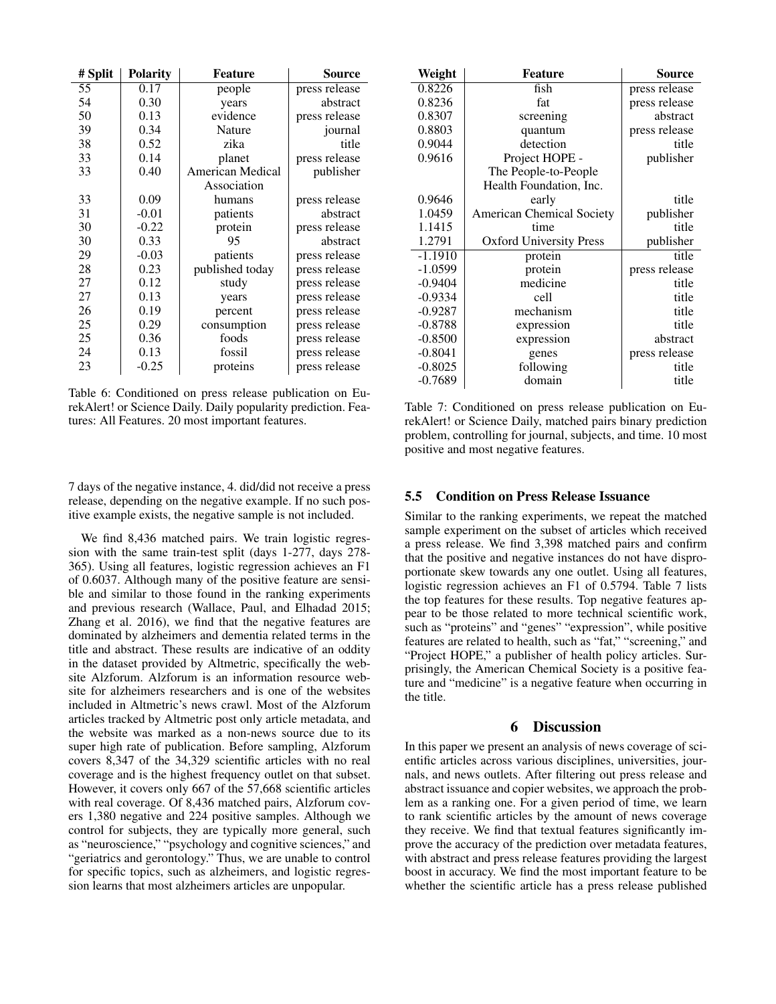| # Split | <b>Polarity</b> | Feature          | Source        |
|---------|-----------------|------------------|---------------|
| 55      | 0.17            | people           | press release |
| 54      | 0.30            | years            | abstract      |
| 50      | 0.13            | evidence         | press release |
| 39      | 0.34            | Nature           | journal       |
| 38      | 0.52            | zika             | title         |
| 33      | 0.14            | planet           | press release |
| 33      | 0.40            | American Medical | publisher     |
|         |                 | Association      |               |
| 33      | 0.09            | humans           | press release |
| 31      | $-0.01$         | patients         | abstract      |
| 30      | $-0.22$         | protein          | press release |
| 30      | 0.33            | 95               | abstract      |
| 29      | $-0.03$         | patients         | press release |
| 28      | 0.23            | published today  | press release |
| 27      | 0.12            | study            | press release |
| 27      | 0.13            | years            | press release |
| 26      | 0.19            | percent          | press release |
| 25      | 0.29            | consumption      | press release |
| 25      | 0.36            | foods            | press release |
| 24      | 0.13            | fossil           | press release |
| 23      | $-0.25$         | proteins         | press release |

Table 6: Conditioned on press release publication on EurekAlert! or Science Daily. Daily popularity prediction. Features: All Features. 20 most important features.

7 days of the negative instance, 4. did/did not receive a press release, depending on the negative example. If no such positive example exists, the negative sample is not included.

We find 8,436 matched pairs. We train logistic regression with the same train-test split (days 1-277, days 278- 365). Using all features, logistic regression achieves an F1 of 0.6037. Although many of the positive feature are sensible and similar to those found in the ranking experiments and previous research (Wallace, Paul, and Elhadad 2015; Zhang et al. 2016), we find that the negative features are dominated by alzheimers and dementia related terms in the title and abstract. These results are indicative of an oddity in the dataset provided by Altmetric, specifically the website Alzforum. Alzforum is an information resource website for alzheimers researchers and is one of the websites included in Altmetric's news crawl. Most of the Alzforum articles tracked by Altmetric post only article metadata, and the website was marked as a non-news source due to its super high rate of publication. Before sampling, Alzforum covers 8,347 of the 34,329 scientific articles with no real coverage and is the highest frequency outlet on that subset. However, it covers only 667 of the 57,668 scientific articles with real coverage. Of 8,436 matched pairs, Alzforum covers 1,380 negative and 224 positive samples. Although we control for subjects, they are typically more general, such as "neuroscience," "psychology and cognitive sciences," and "geriatrics and gerontology." Thus, we are unable to control for specific topics, such as alzheimers, and logistic regression learns that most alzheimers articles are unpopular.

| Weight    | <b>Feature</b>                   | Source        |
|-----------|----------------------------------|---------------|
| 0.8226    | fish                             | press release |
| 0.8236    | fat                              | press release |
| 0.8307    | screening                        | abstract      |
| 0.8803    | quantum                          | press release |
| 0.9044    | detection                        | title         |
| 0.9616    | Project HOPE -                   | publisher     |
|           | The People-to-People             |               |
|           | Health Foundation, Inc.          |               |
| 0.9646    | early                            | title         |
| 1.0459    | <b>American Chemical Society</b> | publisher     |
| 1.1415    | time                             | title         |
| 1.2791    | <b>Oxford University Press</b>   | publisher     |
| $-1.1910$ | protein                          | title         |
| $-1.0599$ | protein                          | press release |
| $-0.9404$ | medicine                         | title         |
| $-0.9334$ | cell                             | title         |
| $-0.9287$ | mechanism                        | title         |
| $-0.8788$ | expression                       | title         |
| $-0.8500$ | expression                       | abstract      |
| $-0.8041$ | genes                            | press release |
| $-0.8025$ | following                        | title         |
| $-0.7689$ | domain                           | title         |

Table 7: Conditioned on press release publication on EurekAlert! or Science Daily, matched pairs binary prediction problem, controlling for journal, subjects, and time. 10 most positive and most negative features.

### 5.5 Condition on Press Release Issuance

Similar to the ranking experiments, we repeat the matched sample experiment on the subset of articles which received a press release. We find 3,398 matched pairs and confirm that the positive and negative instances do not have disproportionate skew towards any one outlet. Using all features, logistic regression achieves an F1 of 0.5794. Table 7 lists the top features for these results. Top negative features appear to be those related to more technical scientific work, such as "proteins" and "genes" "expression", while positive features are related to health, such as "fat," "screening," and "Project HOPE," a publisher of health policy articles. Surprisingly, the American Chemical Society is a positive feature and "medicine" is a negative feature when occurring in the title.

## 6 Discussion

In this paper we present an analysis of news coverage of scientific articles across various disciplines, universities, journals, and news outlets. After filtering out press release and abstract issuance and copier websites, we approach the problem as a ranking one. For a given period of time, we learn to rank scientific articles by the amount of news coverage they receive. We find that textual features significantly improve the accuracy of the prediction over metadata features, with abstract and press release features providing the largest boost in accuracy. We find the most important feature to be whether the scientific article has a press release published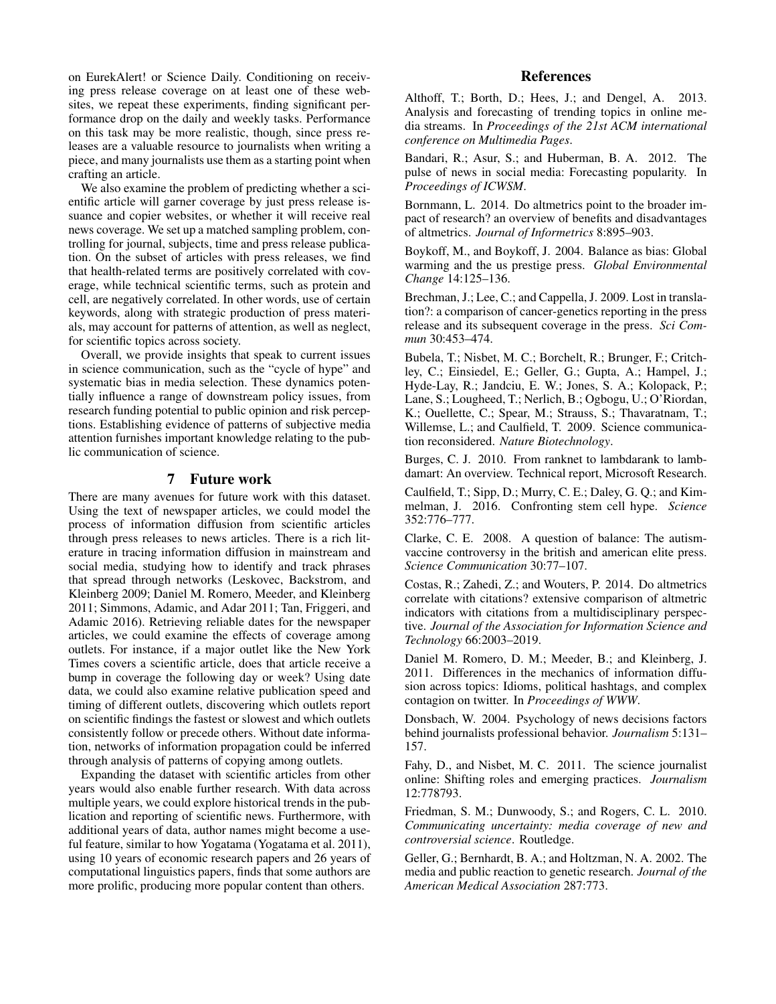on EurekAlert! or Science Daily. Conditioning on receiving press release coverage on at least one of these websites, we repeat these experiments, finding significant performance drop on the daily and weekly tasks. Performance on this task may be more realistic, though, since press releases are a valuable resource to journalists when writing a piece, and many journalists use them as a starting point when crafting an article.

We also examine the problem of predicting whether a scientific article will garner coverage by just press release issuance and copier websites, or whether it will receive real news coverage. We set up a matched sampling problem, controlling for journal, subjects, time and press release publication. On the subset of articles with press releases, we find that health-related terms are positively correlated with coverage, while technical scientific terms, such as protein and cell, are negatively correlated. In other words, use of certain keywords, along with strategic production of press materials, may account for patterns of attention, as well as neglect, for scientific topics across society.

Overall, we provide insights that speak to current issues in science communication, such as the "cycle of hype" and systematic bias in media selection. These dynamics potentially influence a range of downstream policy issues, from research funding potential to public opinion and risk perceptions. Establishing evidence of patterns of subjective media attention furnishes important knowledge relating to the public communication of science.

## 7 Future work

There are many avenues for future work with this dataset. Using the text of newspaper articles, we could model the process of information diffusion from scientific articles through press releases to news articles. There is a rich literature in tracing information diffusion in mainstream and social media, studying how to identify and track phrases that spread through networks (Leskovec, Backstrom, and Kleinberg 2009; Daniel M. Romero, Meeder, and Kleinberg 2011; Simmons, Adamic, and Adar 2011; Tan, Friggeri, and Adamic 2016). Retrieving reliable dates for the newspaper articles, we could examine the effects of coverage among outlets. For instance, if a major outlet like the New York Times covers a scientific article, does that article receive a bump in coverage the following day or week? Using date data, we could also examine relative publication speed and timing of different outlets, discovering which outlets report on scientific findings the fastest or slowest and which outlets consistently follow or precede others. Without date information, networks of information propagation could be inferred through analysis of patterns of copying among outlets.

Expanding the dataset with scientific articles from other years would also enable further research. With data across multiple years, we could explore historical trends in the publication and reporting of scientific news. Furthermore, with additional years of data, author names might become a useful feature, similar to how Yogatama (Yogatama et al. 2011), using 10 years of economic research papers and 26 years of computational linguistics papers, finds that some authors are more prolific, producing more popular content than others.

## **References**

Althoff, T.; Borth, D.; Hees, J.; and Dengel, A. 2013. Analysis and forecasting of trending topics in online media streams. In *Proceedings of the 21st ACM international conference on Multimedia Pages*.

Bandari, R.; Asur, S.; and Huberman, B. A. 2012. The pulse of news in social media: Forecasting popularity. In *Proceedings of ICWSM*.

Bornmann, L. 2014. Do altmetrics point to the broader impact of research? an overview of benefits and disadvantages of altmetrics. *Journal of Informetrics* 8:895–903.

Boykoff, M., and Boykoff, J. 2004. Balance as bias: Global warming and the us prestige press. *Global Environmental Change* 14:125–136.

Brechman, J.; Lee, C.; and Cappella, J. 2009. Lost in translation?: a comparison of cancer-genetics reporting in the press release and its subsequent coverage in the press. *Sci Commun* 30:453–474.

Bubela, T.; Nisbet, M. C.; Borchelt, R.; Brunger, F.; Critchley, C.; Einsiedel, E.; Geller, G.; Gupta, A.; Hampel, J.; Hyde-Lay, R.; Jandciu, E. W.; Jones, S. A.; Kolopack, P.; Lane, S.; Lougheed, T.; Nerlich, B.; Ogbogu, U.; O'Riordan, K.; Ouellette, C.; Spear, M.; Strauss, S.; Thavaratnam, T.; Willemse, L.; and Caulfield, T. 2009. Science communication reconsidered. *Nature Biotechnology*.

Burges, C. J. 2010. From ranknet to lambdarank to lambdamart: An overview. Technical report, Microsoft Research.

Caulfield, T.; Sipp, D.; Murry, C. E.; Daley, G. Q.; and Kimmelman, J. 2016. Confronting stem cell hype. *Science* 352:776–777.

Clarke, C. E. 2008. A question of balance: The autismvaccine controversy in the british and american elite press. *Science Communication* 30:77–107.

Costas, R.; Zahedi, Z.; and Wouters, P. 2014. Do altmetrics correlate with citations? extensive comparison of altmetric indicators with citations from a multidisciplinary perspective. *Journal of the Association for Information Science and Technology* 66:2003–2019.

Daniel M. Romero, D. M.; Meeder, B.; and Kleinberg, J. 2011. Differences in the mechanics of information diffusion across topics: Idioms, political hashtags, and complex contagion on twitter. In *Proceedings of WWW*.

Donsbach, W. 2004. Psychology of news decisions factors behind journalists professional behavior. *Journalism* 5:131– 157.

Fahy, D., and Nisbet, M. C. 2011. The science journalist online: Shifting roles and emerging practices. *Journalism* 12:778793.

Friedman, S. M.; Dunwoody, S.; and Rogers, C. L. 2010. *Communicating uncertainty: media coverage of new and controversial science*. Routledge.

Geller, G.; Bernhardt, B. A.; and Holtzman, N. A. 2002. The media and public reaction to genetic research. *Journal of the American Medical Association* 287:773.